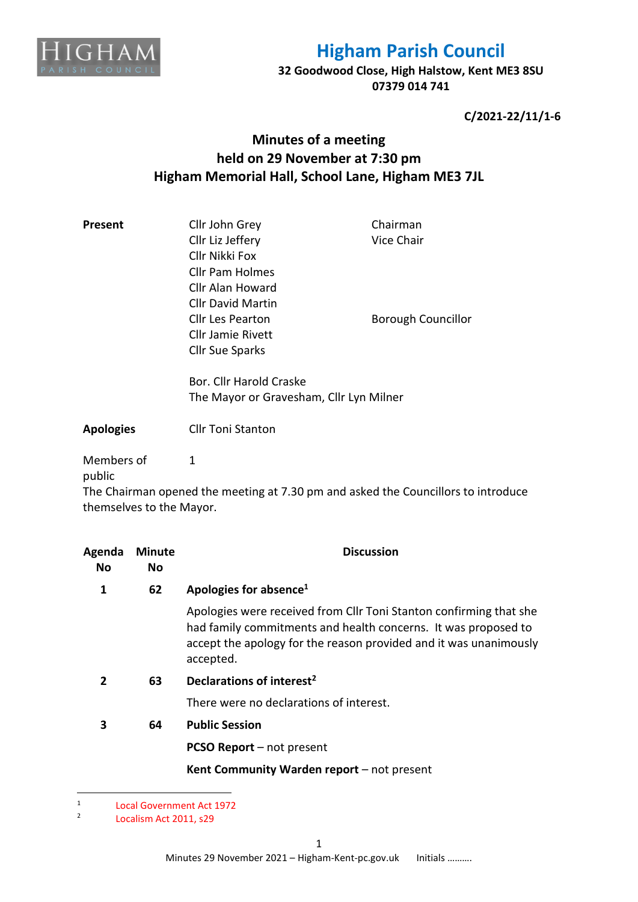

**32 Goodwood Close, High Halstow, Kent ME3 8SU 07379 014 741**

**C/2021-22/11/1-6**

## **Minutes of a meeting held on 29 November at 7:30 pm Higham Memorial Hall, School Lane, Higham ME3 7JL**

| Present | Cllr John Grey           | Chairman                  |
|---------|--------------------------|---------------------------|
|         | Cllr Liz Jeffery         | Vice Chair                |
|         | Cllr Nikki Fox           |                           |
|         | <b>Cllr Pam Holmes</b>   |                           |
|         | Cllr Alan Howard         |                           |
|         | <b>Cllr David Martin</b> |                           |
|         | Cllr Les Pearton         | <b>Borough Councillor</b> |
|         | Cllr Jamie Rivett        |                           |
|         | <b>Cllr Sue Sparks</b>   |                           |
|         | Bor. Cllr Harold Craske  |                           |

The Mayor or Gravesham, Cllr Lyn Milner

**Apologies** Cllr Toni Stanton

1

Members of

public

The Chairman opened the meeting at 7.30 pm and asked the Councillors to introduce themselves to the Mayor.

| Agenda<br>No. | <b>Minute</b><br>No | <b>Discussion</b>                                                                                                                                                                                                      |
|---------------|---------------------|------------------------------------------------------------------------------------------------------------------------------------------------------------------------------------------------------------------------|
| 1             | 62                  | Apologies for absence <sup>1</sup>                                                                                                                                                                                     |
|               |                     | Apologies were received from Cllr Toni Stanton confirming that she<br>had family commitments and health concerns. It was proposed to<br>accept the apology for the reason provided and it was unanimously<br>accepted. |
| $\mathbf{2}$  | 63                  | Declarations of interest <sup>2</sup>                                                                                                                                                                                  |
|               |                     | There were no declarations of interest.                                                                                                                                                                                |
| 3             | 64                  | <b>Public Session</b>                                                                                                                                                                                                  |
|               |                     | <b>PCSO Report</b> – not present                                                                                                                                                                                       |
|               |                     | Kent Community Warden report - not present                                                                                                                                                                             |

<sup>1</sup> Local Government Act 1972

<sup>2</sup> Localism Act 2011, s29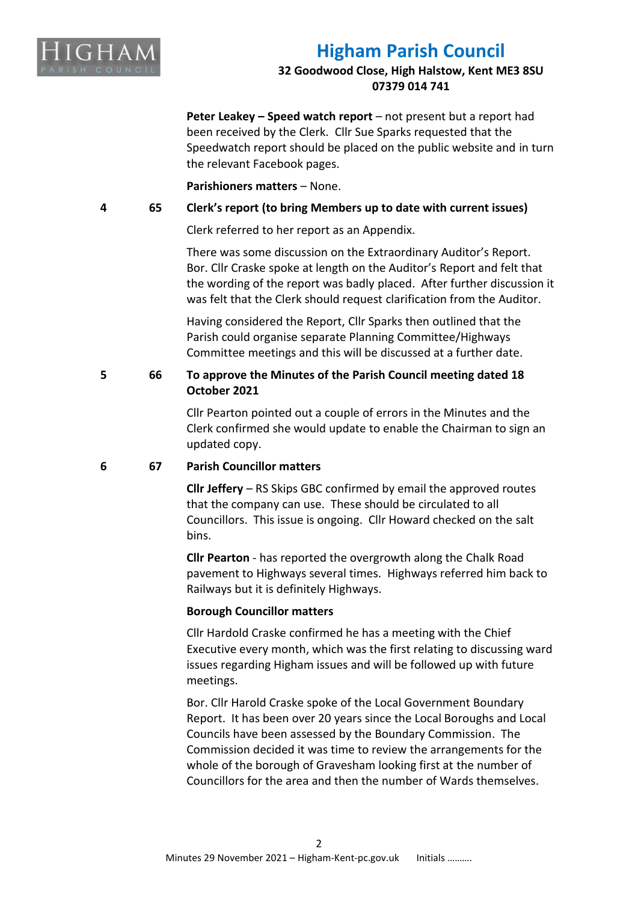

## **32 Goodwood Close, High Halstow, Kent ME3 8SU 07379 014 741**

**Peter Leakey – Speed watch report** – not present but a report had been received by the Clerk. Cllr Sue Sparks requested that the Speedwatch report should be placed on the public website and in turn the relevant Facebook pages.

## **Parishioners matters** – None.

## **4 65 Clerk's report (to bring Members up to date with current issues)**

Clerk referred to her report as an Appendix.

There was some discussion on the Extraordinary Auditor's Report. Bor. Cllr Craske spoke at length on the Auditor's Report and felt that the wording of the report was badly placed. After further discussion it was felt that the Clerk should request clarification from the Auditor.

Having considered the Report, Cllr Sparks then outlined that the Parish could organise separate Planning Committee/Highways Committee meetings and this will be discussed at a further date.

## **5 66 To approve the Minutes of the Parish Council meeting dated 18 October 2021**

Cllr Pearton pointed out a couple of errors in the Minutes and the Clerk confirmed she would update to enable the Chairman to sign an updated copy.

## **6 67 Parish Councillor matters**

**Cllr Jeffery** – RS Skips GBC confirmed by email the approved routes that the company can use. These should be circulated to all Councillors. This issue is ongoing. Cllr Howard checked on the salt bins.

**Cllr Pearton** - has reported the overgrowth along the Chalk Road pavement to Highways several times. Highways referred him back to Railways but it is definitely Highways.

## **Borough Councillor matters**

Cllr Hardold Craske confirmed he has a meeting with the Chief Executive every month, which was the first relating to discussing ward issues regarding Higham issues and will be followed up with future meetings.

Bor. Cllr Harold Craske spoke of the Local Government Boundary Report. It has been over 20 years since the Local Boroughs and Local Councils have been assessed by the Boundary Commission. The Commission decided it was time to review the arrangements for the whole of the borough of Gravesham looking first at the number of Councillors for the area and then the number of Wards themselves.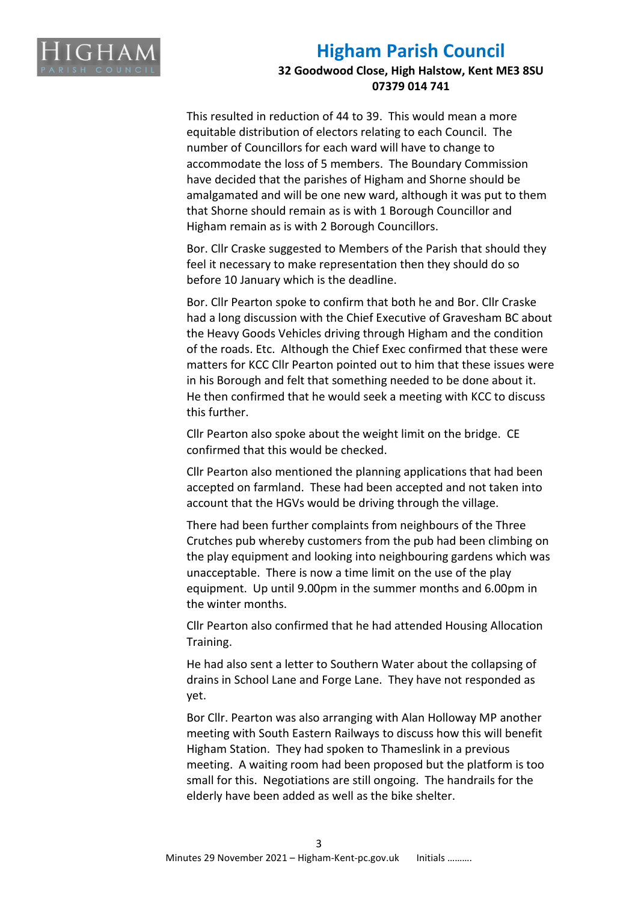

## **32 Goodwood Close, High Halstow, Kent ME3 8SU 07379 014 741**

This resulted in reduction of 44 to 39. This would mean a more equitable distribution of electors relating to each Council. The number of Councillors for each ward will have to change to accommodate the loss of 5 members. The Boundary Commission have decided that the parishes of Higham and Shorne should be amalgamated and will be one new ward, although it was put to them that Shorne should remain as is with 1 Borough Councillor and Higham remain as is with 2 Borough Councillors.

Bor. Cllr Craske suggested to Members of the Parish that should they feel it necessary to make representation then they should do so before 10 January which is the deadline.

Bor. Cllr Pearton spoke to confirm that both he and Bor. Cllr Craske had a long discussion with the Chief Executive of Gravesham BC about the Heavy Goods Vehicles driving through Higham and the condition of the roads. Etc. Although the Chief Exec confirmed that these were matters for KCC Cllr Pearton pointed out to him that these issues were in his Borough and felt that something needed to be done about it. He then confirmed that he would seek a meeting with KCC to discuss this further.

Cllr Pearton also spoke about the weight limit on the bridge. CE confirmed that this would be checked.

Cllr Pearton also mentioned the planning applications that had been accepted on farmland. These had been accepted and not taken into account that the HGVs would be driving through the village.

There had been further complaints from neighbours of the Three Crutches pub whereby customers from the pub had been climbing on the play equipment and looking into neighbouring gardens which was unacceptable. There is now a time limit on the use of the play equipment. Up until 9.00pm in the summer months and 6.00pm in the winter months.

Cllr Pearton also confirmed that he had attended Housing Allocation Training.

He had also sent a letter to Southern Water about the collapsing of drains in School Lane and Forge Lane. They have not responded as yet.

Bor Cllr. Pearton was also arranging with Alan Holloway MP another meeting with South Eastern Railways to discuss how this will benefit Higham Station. They had spoken to Thameslink in a previous meeting. A waiting room had been proposed but the platform is too small for this. Negotiations are still ongoing. The handrails for the elderly have been added as well as the bike shelter.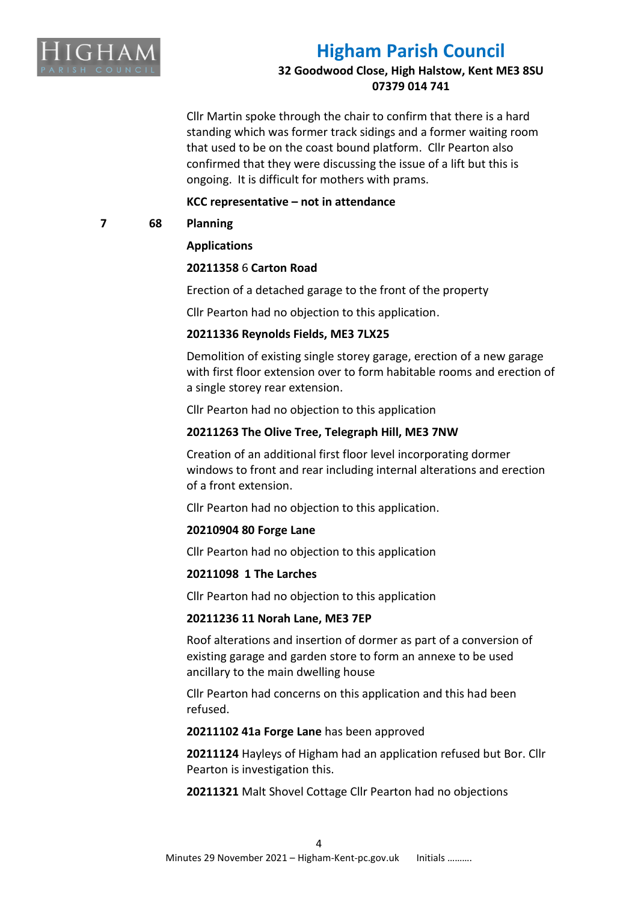

**32 Goodwood Close, High Halstow, Kent ME3 8SU 07379 014 741**

Cllr Martin spoke through the chair to confirm that there is a hard standing which was former track sidings and a former waiting room that used to be on the coast bound platform. Cllr Pearton also confirmed that they were discussing the issue of a lift but this is ongoing. It is difficult for mothers with prams.

## **KCC representative – not in attendance**

**7 68 Planning**

## **Applications**

## **20211358** 6 **Carton Road**

Erection of a detached garage to the front of the property

Cllr Pearton had no objection to this application.

## **20211336 Reynolds Fields, ME3 7LX25**

Demolition of existing single storey garage, erection of a new garage with first floor extension over to form habitable rooms and erection of a single storey rear extension.

Cllr Pearton had no objection to this application

## **20211263 The Olive Tree, Telegraph Hill, ME3 7NW**

Creation of an additional first floor level incorporating dormer windows to front and rear including internal alterations and erection of a front extension.

Cllr Pearton had no objection to this application.

#### **20210904 80 Forge Lane**

Cllr Pearton had no objection to this application

#### **20211098 1 The Larches**

Cllr Pearton had no objection to this application

## **20211236 11 Norah Lane, ME3 7EP**

Roof alterations and insertion of dormer as part of a conversion of existing garage and garden store to form an annexe to be used ancillary to the main dwelling house

Cllr Pearton had concerns on this application and this had been refused.

#### **20211102 41a Forge Lane** has been approved

**20211124** Hayleys of Higham had an application refused but Bor. Cllr Pearton is investigation this.

**20211321** Malt Shovel Cottage Cllr Pearton had no objections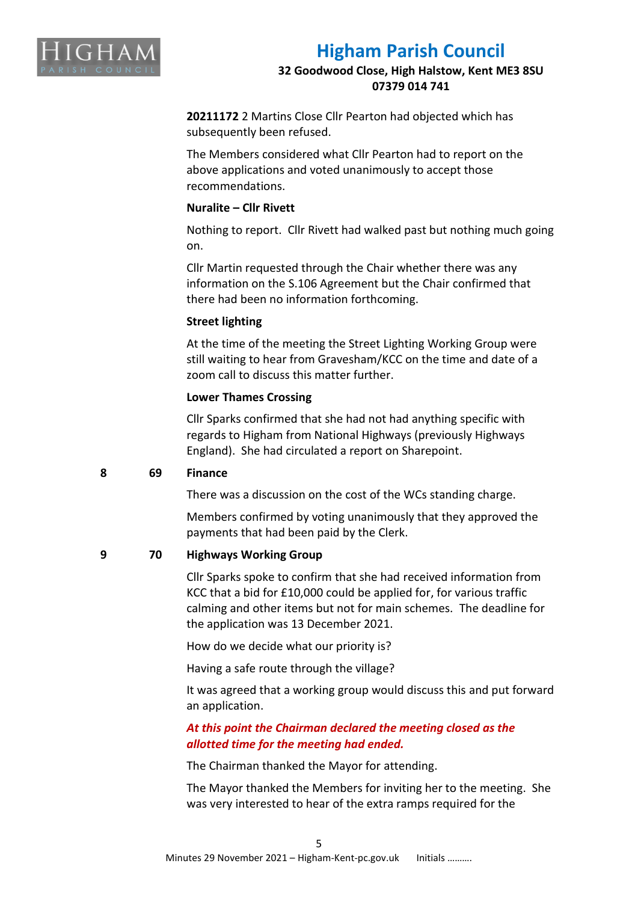

## **32 Goodwood Close, High Halstow, Kent ME3 8SU 07379 014 741**

**20211172** 2 Martins Close Cllr Pearton had objected which has subsequently been refused.

The Members considered what Cllr Pearton had to report on the above applications and voted unanimously to accept those recommendations.

## **Nuralite – Cllr Rivett**

Nothing to report. Cllr Rivett had walked past but nothing much going on.

Cllr Martin requested through the Chair whether there was any information on the S.106 Agreement but the Chair confirmed that there had been no information forthcoming.

## **Street lighting**

At the time of the meeting the Street Lighting Working Group were still waiting to hear from Gravesham/KCC on the time and date of a zoom call to discuss this matter further.

## **Lower Thames Crossing**

Cllr Sparks confirmed that she had not had anything specific with regards to Higham from National Highways (previously Highways England). She had circulated a report on Sharepoint.

## **8 69 Finance**

There was a discussion on the cost of the WCs standing charge.

Members confirmed by voting unanimously that they approved the payments that had been paid by the Clerk.

## **9 70 Highways Working Group**

Cllr Sparks spoke to confirm that she had received information from KCC that a bid for £10,000 could be applied for, for various traffic calming and other items but not for main schemes. The deadline for the application was 13 December 2021.

How do we decide what our priority is?

Having a safe route through the village?

It was agreed that a working group would discuss this and put forward an application.

## *At this point the Chairman declared the meeting closed as the allotted time for the meeting had ended.*

The Chairman thanked the Mayor for attending.

The Mayor thanked the Members for inviting her to the meeting. She was very interested to hear of the extra ramps required for the